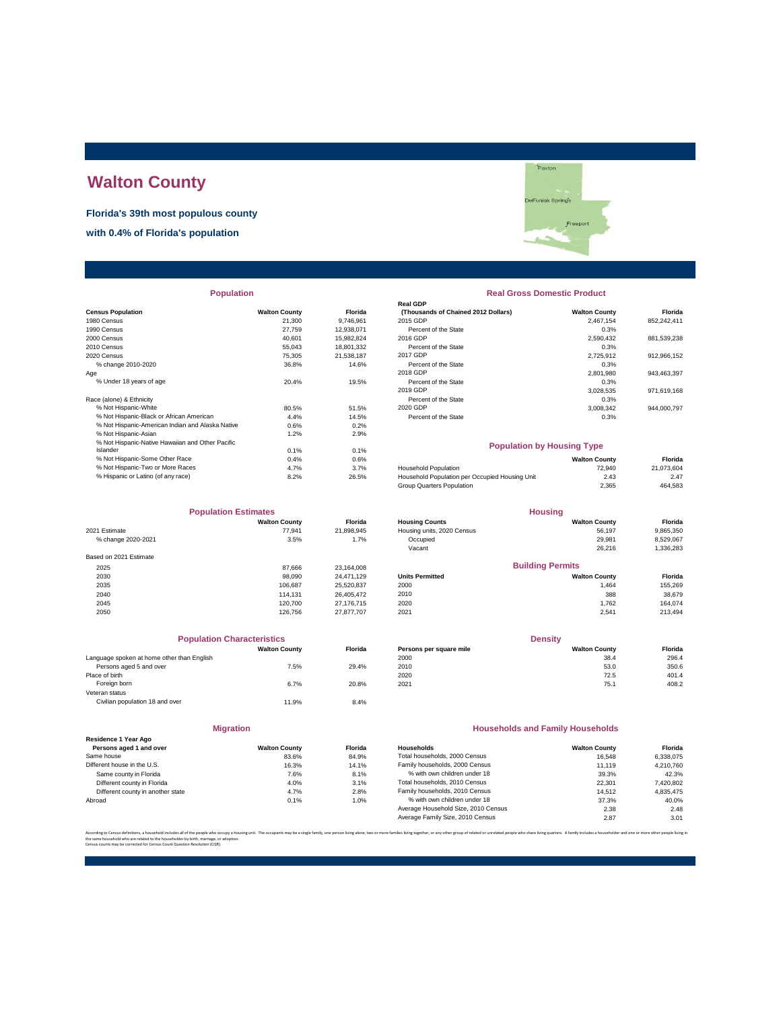# **Walton County**

**Florida's 39th most populous county**

**with 0.4% of Florida's population**

|                                                  |                      |            | <b>Real GDP</b>                                |                      |             |
|--------------------------------------------------|----------------------|------------|------------------------------------------------|----------------------|-------------|
| <b>Census Population</b>                         | <b>Walton County</b> | Florida    | (Thousands of Chained 2012 Dollars)            | <b>Walton County</b> | Florida     |
| 1980 Census                                      | 21.300               | 9.746.961  | 2015 GDP                                       | 2.467.154            | 852,242,411 |
| 1990 Census                                      | 27.759               | 12.938.071 | Percent of the State                           | 0.3%                 |             |
| 2000 Census                                      | 40.601               | 15,982,824 | 2016 GDP                                       | 2,590,432            | 881,539,238 |
| 2010 Census                                      | 55,043               | 18,801,332 | Percent of the State                           | 0.3%                 |             |
| 2020 Census                                      | 75,305               | 21,538,187 | 2017 GDP                                       | 2,725,912            | 912,966,152 |
| % change 2010-2020                               | 36.8%                | 14.6%      | Percent of the State                           | 0.3%                 |             |
| Age                                              |                      |            | 2018 GDP                                       | 2,801,980            | 943,463,397 |
| % Under 18 years of age                          | 20.4%                | 19.5%      | Percent of the State                           | 0.3%                 |             |
|                                                  |                      |            | 2019 GDP                                       | 3,028,535            | 971,619,168 |
| Race (alone) & Ethnicity                         |                      |            | Percent of the State                           | 0.3%                 |             |
| % Not Hispanic-White                             | 80.5%                | 51.5%      | 2020 GDP                                       | 3,008,342            | 944,000,797 |
| % Not Hispanic-Black or African American         | 4.4%                 | 14.5%      | Percent of the State                           | 0.3%                 |             |
| % Not Hispanic-American Indian and Alaska Native | 0.6%                 | 0.2%       |                                                |                      |             |
| % Not Hispanic-Asian                             | 1.2%                 | 2.9%       |                                                |                      |             |
| % Not Hispanic-Native Hawaiian and Other Pacific |                      |            | <b>Population by Housing Type</b>              |                      |             |
| Islander                                         | 0.1%                 | 0.1%       |                                                |                      |             |
| % Not Hispanic-Some Other Race                   | 0.4%                 | 0.6%       |                                                | <b>Walton County</b> | Florida     |
| % Not Hispanic-Two or More Races                 | 4.7%                 | 3.7%       | <b>Household Population</b>                    | 72.940               | 21,073,604  |
| % Hispanic or Latino (of any race)               | 8.2%                 | 26.5%      | Household Population per Occupied Housing Unit | 2.43                 | 2.47        |
|                                                  |                      |            |                                                |                      |             |

| <b>Population Estimates</b> |                      |                | <b>Housing</b>             |                         |           |
|-----------------------------|----------------------|----------------|----------------------------|-------------------------|-----------|
|                             | <b>Walton County</b> | <b>Florida</b> | <b>Housing Counts</b>      | <b>Walton County</b>    | Florida   |
| 2021 Estimate               | 77.941               | 21,898,945     | Housing units, 2020 Census | 56,197                  | 9,865,350 |
| % change 2020-2021          | 3.5%                 | 1.7%           | Occupied                   | 29,981                  | 8,529,067 |
|                             |                      |                | Vacant                     | 26.216                  | 1,336,283 |
| Based on 2021 Estimate      |                      |                |                            |                         |           |
| 2025                        | 87.666               | 23.164.008     |                            | <b>Building Permits</b> |           |
| 2030                        | 98,090               | 24.471.129     | <b>Units Permitted</b>     | <b>Walton County</b>    | Florida   |
| 2035                        | 106.687              | 25.520.837     | 2000                       | 1.464                   | 155,269   |
| 2040                        | 114.131              | 26.405.472     | 2010                       | 388                     | 38,679    |
| 2045                        | 120,700              | 27.176.715     | 2020                       | 1.762                   | 164.074   |
| 2050                        | 126,756              | 27.877.707     | 2021                       | 2.541                   | 213,494   |

|                                            | <b>Population Characteristics</b> |                |
|--------------------------------------------|-----------------------------------|----------------|
|                                            | <b>Walton County</b>              | <b>Florida</b> |
| Language spoken at home other than English |                                   |                |
| Persons aged 5 and over                    | 7.5%                              | 29.4%          |
| Place of birth                             |                                   |                |
| Foreign born                               | 6.7%                              | 20.8%          |
| Veteran status                             |                                   |                |
| Civilian population 18 and over            | 11.9%                             | 8.4%           |
|                                            |                                   |                |

**Migration**

| Persons aged 1 and over           | <b>Walton County</b> | Florida |
|-----------------------------------|----------------------|---------|
| Same house                        | 83.6%                | 84.9%   |
| Different house in the U.S.       | 16.3%                | 14.1%   |
| Same county in Florida            | 7.6%                 | 8.1%    |
| Different county in Florida       | 4.0%                 | 3.1%    |
| Different county in another state | 4.7%                 | 2.8%    |
| Abroad                            | 0.1%                 | 1.0%    |
|                                   |                      |         |

**Residence 1 Year Ago**

# DeFuniak Spring<sup>t</sup>s Free

| <b>Population</b> |                      |                | <b>Real Gross Domestic Product</b>  |                      |             |  |  |
|-------------------|----------------------|----------------|-------------------------------------|----------------------|-------------|--|--|
|                   |                      |                | <b>Real GDP</b>                     |                      |             |  |  |
|                   | <b>Walton County</b> | <b>Florida</b> | (Thousands of Chained 2012 Dollars) | <b>Walton County</b> | Florida     |  |  |
|                   | 21,300               | 9.746.961      | 2015 GDP                            | 2.467.154            | 852.242.411 |  |  |
|                   | 27.759               | 12.938.071     | Percent of the State                | 0.3%                 |             |  |  |
|                   | 40.601               | 15.982.824     | 2016 GDP                            | 2.590.432            | 881,539,238 |  |  |
|                   | 55,043               | 18.801.332     | Percent of the State                | 0.3%                 |             |  |  |
|                   | 75,305               | 21.538.187     | 2017 GDP                            | 2.725.912            | 912.966.152 |  |  |
|                   | 36.8%                | 14.6%          | Percent of the State                | 0.3%                 |             |  |  |
|                   |                      |                | 2018 GDP                            | 2.801.980            | 943.463.397 |  |  |
|                   | 20.4%                | 19.5%          | Percent of the State                | 0.3%                 |             |  |  |
|                   |                      |                | 2019 GDP                            | 3.028.535            | 971.619.168 |  |  |
|                   |                      |                | Percent of the State                | 0.3%                 |             |  |  |
|                   | 80.5%                | 51.5%          | 2020 GDP                            | 3.008.342            | 944.000.797 |  |  |
| аn                | 4.4%                 | 14.5%          | Percent of the State                | 0.3%                 |             |  |  |
| .                 |                      |                |                                     |                      |             |  |  |

#### **Population by Housing Type**

| % Not Hispanic-Some Other Race     | 0.4% | $0.6\%$ |                                                | <b>Walton County</b> | Florida    |
|------------------------------------|------|---------|------------------------------------------------|----------------------|------------|
| % Not Hispanic-Two or More Races   | 4.7% | 3.7%    | Household Population                           | 72.940               | 21.073.604 |
| % Hispanic or Latino (of any race) | 8.2% | 26.5%   | Household Population per Occupied Housing Unit | 2.43                 | 2.47       |
|                                    |      |         | Group Quarters Population                      | 2.365                | 464.583    |

| <b>Population Estimates</b> |                      |                | <b>Housing</b>             |                      |                |
|-----------------------------|----------------------|----------------|----------------------------|----------------------|----------------|
|                             | <b>Walton County</b> | <b>Florida</b> | <b>Housing Counts</b>      | <b>Walton County</b> | <b>Florida</b> |
| 2021 Estimate               | 77.941               | 21.898.945     | Housing units, 2020 Census | 56.197               | 9,865,350      |
| % change 2020-2021          | 3.5%                 | 1.7%           | Occupied                   | 29.981               | 8.529.067      |
|                             |                      |                | Vacant                     | 26,216               | 1,336,283      |
| Based on 2021 Estimate      |                      |                |                            |                      |                |
| 2025                        | 87.666               | 23.164.008     | <b>Building Permits</b>    |                      |                |
| 2030                        | 98,090               | 24.471.129     | <b>Units Permitted</b>     | <b>Walton County</b> | <b>Florida</b> |
| 2035                        | 106.687              | 25.520.837     | 2000                       | 1.464                | 155,269        |
| 2040                        | 114.131              | 26,405,472     | 2010                       | 388                  | 38,679         |

| <b>Population Characteristics</b>          |                      |                | <b>Density</b>          |                      |         |
|--------------------------------------------|----------------------|----------------|-------------------------|----------------------|---------|
|                                            | <b>Walton County</b> | <b>Florida</b> | Persons per square mile | <b>Walton County</b> | Florida |
| Language spoken at home other than English |                      |                | 2000                    | 38.4                 | 296.4   |
| Persons aged 5 and over                    | 7.5%                 | 29.4%          | 2010                    | 53.0                 | 350.6   |
| Place of birth                             |                      |                | 2020                    | 72.5                 | 401.4   |
| Foreign born                               | 6.7%                 | 20.8%          | 2021                    | 75.1                 | 408.2   |

#### **Households and Family Households**

| Residence 1 Year Ago              |                      |                |                                     |                      |           |
|-----------------------------------|----------------------|----------------|-------------------------------------|----------------------|-----------|
| Persons aged 1 and over           | <b>Walton County</b> | <b>Florida</b> | Households                          | <b>Walton County</b> | Florida   |
| Same house                        | 83.6%                | 84.9%          | Total households, 2000 Census       | 16.548               | 6.338.075 |
| Different house in the U.S.       | 16.3%                | 14.1%          | Family households, 2000 Census      | 11.119               | 4.210.760 |
| Same county in Florida            | 7.6%                 | 8.1%           | % with own children under 18        | 39.3%                | 42.3%     |
| Different county in Florida       | 4.0%                 | 3.1%           | Total households, 2010 Census       | 22.301               | 7,420,802 |
| Different county in another state | 4.7%                 | 2.8%           | Family households, 2010 Census      | 14.512               | 4.835.475 |
| Abroad                            | 0.1%                 | 1.0%           | % with own children under 18        | 37.3%                | 40.0%     |
|                                   |                      |                | Average Household Size, 2010 Census | 2.38                 | 2.48      |
|                                   |                      |                | Average Family Size, 2010 Census    | 2.87                 | 3.01      |
|                                   |                      |                |                                     |                      |           |

.<br>ilies living together, or any other group of related or unrelated people who share living quarters. A family includes a householder and one or more other pe the same household who are related to the householder by birth, marriage, or adoption. Census counts may be corrected for Census Count Question Resolution (CQR).

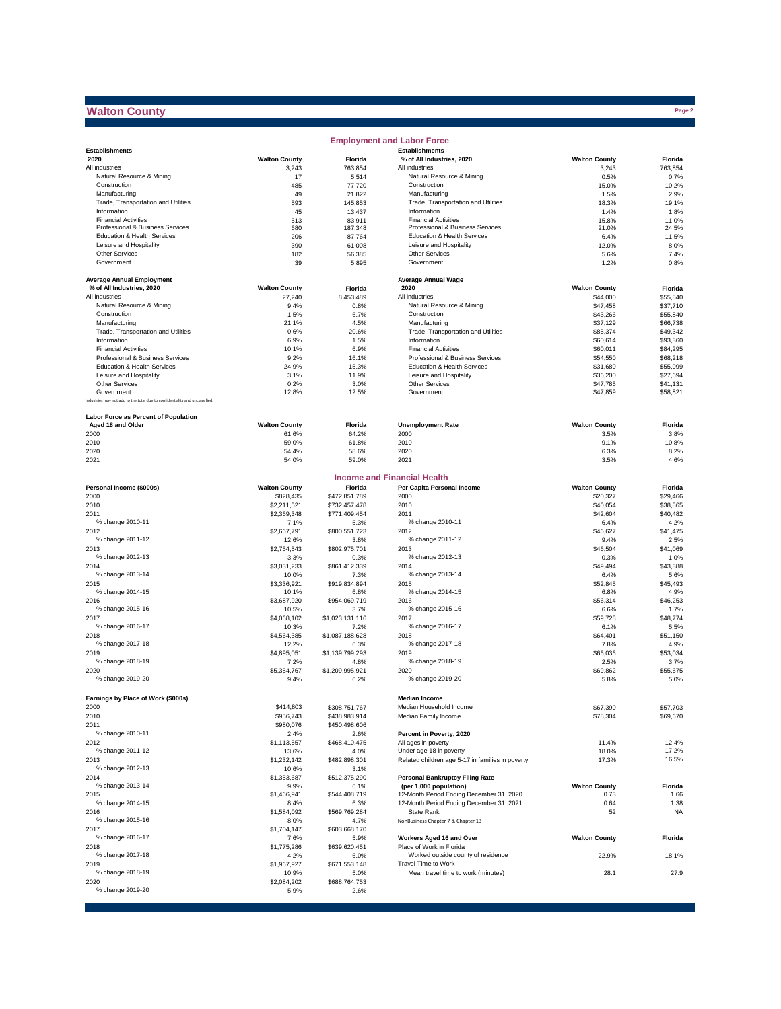## **Walton County**

|                                                                              |                      |                   | <b>Employment and Labor Force</b>                  |                      |               |
|------------------------------------------------------------------------------|----------------------|-------------------|----------------------------------------------------|----------------------|---------------|
| <b>Establishments</b>                                                        |                      |                   | <b>Establishments</b>                              |                      |               |
| 2020                                                                         | <b>Walton County</b> | Florida           | % of All Industries, 2020                          | <b>Walton County</b> | Florida       |
| All industries                                                               | 3,243                | 763,854           | All industries                                     | 3,243                | 763,854       |
| Natural Resource & Mining                                                    | 17                   | 5,514             | Natural Resource & Mining                          | 0.5%                 | 0.7%          |
| Construction<br>Manufacturing                                                | 485<br>49            | 77,720            | Construction<br>Manufacturing                      | 15.0%                | 10.2%<br>2.9% |
| Trade, Transportation and Utilities                                          |                      | 21,822            |                                                    | 1.5%                 |               |
| Information                                                                  | 593<br>45            | 145,853<br>13,437 | Trade, Transportation and Utilities<br>Information | 18.3%<br>1.4%        | 19.1%<br>1.8% |
| <b>Financial Activities</b>                                                  | 513                  | 83,911            | <b>Financial Activities</b>                        | 15.8%                | 11.0%         |
| Professional & Business Services                                             | 680                  | 187,348           | Professional & Business Services                   | 21.0%                | 24.5%         |
| Education & Health Services                                                  | 206                  | 87,764            | Education & Health Services                        | 6.4%                 | 11.5%         |
| Leisure and Hospitality                                                      | 390                  | 61,008            | Leisure and Hospitality                            | 12.0%                | 8.0%          |
| <b>Other Services</b>                                                        | 182                  | 56,385            | Other Services                                     | 5.6%                 | 7.4%          |
| Government                                                                   | 39                   | 5,895             | Government                                         | 1.2%                 | 0.8%          |
|                                                                              |                      |                   |                                                    |                      |               |
| <b>Average Annual Employment</b>                                             |                      |                   | <b>Average Annual Wage</b>                         |                      |               |
| % of All Industries, 2020                                                    | <b>Walton County</b> | Florida           | 2020                                               | <b>Walton County</b> | Florida       |
| All industries                                                               | 27,240               | 8,453,489         | All industries                                     | \$44,000             | \$55,840      |
| Natural Resource & Mining                                                    | 9.4%                 | 0.8%              | Natural Resource & Mining                          | \$47,458             | \$37,710      |
| Construction                                                                 | 1.5%                 | 6.7%              | Construction                                       | \$43,266             | \$55,840      |
| Manufacturing                                                                | 21.1%                | 4.5%              | Manufacturing                                      | \$37,129             | \$66,738      |
| Trade, Transportation and Utilities                                          | 0.6%                 | 20.6%             | Trade, Transportation and Utilities                | \$85,374             | \$49,342      |
| Information                                                                  | 6.9%                 | 1.5%              | Information                                        | \$60,614             | \$93,360      |
| <b>Financial Activities</b>                                                  | 10.1%                | 6.9%              | <b>Financial Activities</b>                        | \$60,011             | \$84,295      |
| Professional & Business Services                                             | 9.2%                 | 16.1%             | Professional & Business Services                   | \$54,550             | \$68,218      |
| Education & Health Services                                                  | 24.9%                | 15.3%             | Education & Health Services                        | \$31,680             | \$55,099      |
| Leisure and Hospitality                                                      | 3.1%                 | 11.9%             | Leisure and Hospitality                            | \$36,200             | \$27,694      |
| <b>Other Services</b>                                                        | 0.2%                 | 3.0%              | Other Services                                     | \$47,785             | \$41.131      |
| Government                                                                   | 12.8%                | 12.5%             | Government                                         | \$47,859             | \$58,821      |
| Industries may not add to the total due to confidentiality and unclassified. |                      |                   |                                                    |                      |               |
| Labor Force as Percent of Population                                         |                      |                   |                                                    |                      |               |
| Aged 18 and Older                                                            | <b>Walton County</b> | Florida           | <b>Unemployment Rate</b>                           | <b>Walton County</b> | Florida       |
| 2000                                                                         | 61.6%                | 64.2%             | 2000                                               | 3.5%                 | 3.8%          |
| 2010                                                                         | 59.0%                | 61.8%             | 2010                                               | 9.1%                 | 10.8%         |
| 2020                                                                         | 54.4%                | 58.6%             | 2020                                               | 6.3%                 | 8.2%          |
| 2021                                                                         | 54.0%                | 59.0%             | 2021                                               | 3.5%                 | 4.6%          |
|                                                                              |                      |                   |                                                    |                      |               |
|                                                                              |                      |                   | <b>Income and Financial Health</b>                 |                      |               |
| Personal Income (\$000s)                                                     | <b>Walton County</b> | Florida           | Per Capita Personal Income                         | <b>Walton County</b> | Florida       |
| 2000                                                                         | \$828,435            | \$472,851,789     | 2000                                               | \$20,327             | \$29,466      |
| 2010                                                                         | \$2,211,521          | \$732,457,478     | 2010                                               | \$40,054             | \$38,865      |
| 2011                                                                         | \$2,369,348          | \$771,409,454     | 2011                                               | \$42,604             | \$40,482      |
| % change 2010-11                                                             | 7.1%                 | 5.3%              | % change 2010-11                                   | 6.4%                 | 4.2%          |
| 2012                                                                         | \$2,667,791          | \$800,551,723     | 2012                                               | \$46,627             | \$41,475      |
| % change 2011-12                                                             | 12.6%                | 3.8%              | % change 2011-12                                   | 9.4%                 | 2.5%          |
| 2013                                                                         | \$2,754,543          | \$802,975,701     | 2013                                               | \$46,504             | \$41,069      |
| % change 2012-13                                                             | 3.3%                 | 0.3%              | % change 2012-13                                   | $-0.3%$              | $-1.0%$       |
| 2014                                                                         | \$3,031,233          | \$861,412,339     | 2014                                               | \$49,494             | \$43,388      |
| % change 2013-14                                                             | 10.0%                | 7.3%              | % change 2013-14                                   | 6.4%                 | 5.6%          |
| 2015                                                                         | \$3,336,921          | \$919,834,894     | 2015                                               | \$52,845             | \$45,493      |
| % change 2014-15                                                             | 10.1%                | 6.8%              | % change 2014-15                                   | 6.8%                 | 4.9%          |
| 2016                                                                         | \$3,687,920          | \$954,069,719     | 2016                                               | \$56,314             | \$46,253      |
| % change 2015-16                                                             | 10.5%                | 3.7%              | % change 2015-16                                   | 6.6%                 | 1.7%          |
| 2017                                                                         | \$4,068,102          | \$1,023,131,116   | 2017                                               | \$59,728             | \$48,774      |
| % change 2016-17                                                             | 10.3%                | 7.2%              | % change 2016-17                                   | 6.1%                 | 5.5%          |
| 2018                                                                         | \$4,564,385          | \$1,087,188,628   | 2018                                               | \$64,401             | \$51,150      |
| % change 2017-18                                                             | 12.2%                | 6.3%              | % change 2017-18                                   | 7.8%                 | 4.9%          |
| 2019                                                                         | \$4,895,051          | \$1,139,799,293   | 2019                                               | \$66,036             | \$53,034      |
| % change 2018-19                                                             | 7.2%                 | 4.8%              | % change 2018-19                                   | 2.5%                 | 3.7%          |
| 2020                                                                         | \$5,354,767          | \$1,209,995,921   | 2020                                               | \$69,862             | \$55,675      |
| % change 2019-20                                                             | 9.4%                 | 6.2%              | % change 2019-20                                   | 5.8%                 | 5.0%          |
|                                                                              |                      |                   |                                                    |                      |               |
| Earnings by Place of Work (\$000s)                                           |                      |                   | <b>Median Income</b>                               |                      |               |
| 2000                                                                         | \$414,803            | \$308,751,767     | Median Household Income                            | \$67,390             | \$57,703      |
| 2010                                                                         | \$956,743            | \$438,983,914     | Median Family Income                               | \$78,304             | \$69,670      |
| 2011                                                                         | \$980,076            | \$450,498,606     |                                                    |                      |               |
| % change 2010-11                                                             | 2.4%                 | 2.6%              | Percent in Poverty, 2020                           |                      |               |
| 2012                                                                         | \$1,113,557          | \$468,410,475     | All ages in poverty                                | 11.4%                | 12.4%         |
| % change 2011-12                                                             | 13.6%                | 4.0%              | Under age 18 in poverty                            | 18.0%                | 17.2%         |
| 2013                                                                         | \$1,232,142          | \$482,898,301     | Related children age 5-17 in families in poverty   | 17.3%                | 16.5%         |
| % change 2012-13                                                             | 10.6%                | 3.1%              |                                                    |                      |               |
| 2014                                                                         | \$1,353,687          | \$512,375,290     | <b>Personal Bankruptcy Filing Rate</b>             |                      |               |
| % change 2013-14                                                             | 9.9%                 | 6.1%              | (per 1,000 population)                             | <b>Walton County</b> | Florida       |
| 2015                                                                         | \$1,466,941          | \$544,408,719     | 12-Month Period Ending December 31, 2020           | 0.73                 | 1.66          |
| % change 2014-15                                                             | 8.4%                 | 6.3%              | 12-Month Period Ending December 31, 2021           | 0.64                 | 1.38          |
| 2016                                                                         | \$1,584,092          | \$569,769,284     | <b>State Rank</b>                                  | 52                   | <b>NA</b>     |
| % change 2015-16                                                             | 8.0%                 | 4.7%              | NonBusiness Chapter 7 & Chapter 13                 |                      |               |
| 2017                                                                         | \$1,704,147          | \$603,668,170     |                                                    |                      |               |
| % change 2016-17                                                             | 7.6%                 | 5.9%              | Workers Aged 16 and Over                           | <b>Walton County</b> | Florida       |
| 2018                                                                         | \$1,775,286          | \$639,620,451     | Place of Work in Florida                           |                      |               |
| % change 2017-18                                                             | 4.2%                 | 6.0%              | Worked outside county of residence                 | 22.9%                | 18.1%         |
| 2019                                                                         | \$1,967,927          | \$671,553,148     | Travel Time to Work                                |                      |               |
| % change 2018-19                                                             | 10.9%                | 5.0%              | Mean travel time to work (minutes)                 | 28.1                 | 27.9          |
| 2020                                                                         | \$2,084,202          | \$688,764,753     |                                                    |                      |               |
| % change 2019-20                                                             | 5.9%                 | 2.6%              |                                                    |                      |               |